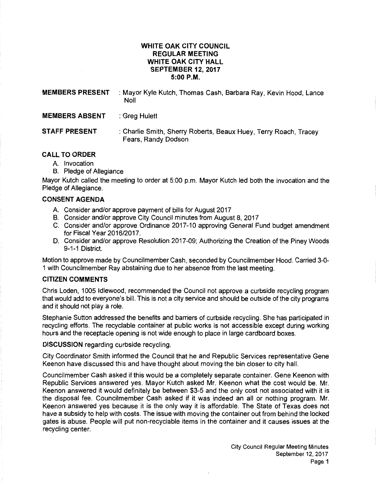# **WHITE OAK CITY COUNCIL REGULAR MEETING WHITE OAK CITY HALL SEPTEMBER 12, 2017 5:00P.M.**

| <b>MEMBERS PRESENT</b> | : Mayor Kyle Kutch, Thomas Cash, Barbara Ray, Kevin Hood, Lance<br><b>Noll</b>          |
|------------------------|-----------------------------------------------------------------------------------------|
| <b>MEMBERS ABSENT</b>  | : Greg Hulett                                                                           |
| <b>STAFF PRESENT</b>   | : Charlie Smith, Sherry Roberts, Beaux Huey, Terry Roach, Tracey<br>Fears, Randy Dodson |

## **CALL TO ORDER**

- A. Invocation
- B. Pledge of Allegiance

Mayor Kutch called the meeting to order at 5:00 p.m. Mayor Kutch led both the invocation and the Pledge of Allegiance.

## **CONSENT AGENDA**

- A. Consider and/or approve payment of bills for August 2017
- B. Consider and/or approve City Council minutes from August 8, 2017
- C. Consider and/or approve Ordinance 2017-10 approving General Fund budget amendment for Fiscal Year 2016/2017.
- D. Consider and/or approve Resolution 2017 -09; Authorizing the Creation of the Piney Woods 9-1-1 District.

Motion to approve made by Councilmember Cash, seconded by Councilmember Hood. Carried 3-0- 1 with Councilmember Ray abstaining due to her absence from the last meeting.

## **CITIZEN COMMENTS**

Chris Loden, 1005 ldlewood, recommended the Council not approve a curbside recycling program that would add to everyone's bill. This is not a city service and should be outside of the city programs and it should not play a role.

Stephanie Sutton addressed the benefits and barriers of curbside recycling. She has participated in recycling efforts. The recyclable container at public works is not accessible except during working hours and the receptacle opening is not wide enough to place in large cardboard boxes.

**DISCUSSION** regarding curbside recycling.

City Coordinator Smith informed the Council that he and Republic Services representative Gene Keenon have discussed this and have thought about moving the bin closer to city hall.

Councilmember Cash asked if this would be a completely separate container. Gene Keenon with Republic Services answered yes. Mayor Kutch asked Mr. Keenon what the cost would be. Mr. Keenon answered it would definitely be between \$3-5 and the only cost not associated with it is the disposal fee. Councilmember Cash asked if it was indeed an all or nothing program. Mr. Keenon answered yes because it is the only way it is affordable. The State of Texas does not have a subsidy to help with costs. The issue with moving the container out from behind the locked gates is abuse. People will put non-recyclable items in the container and it causes issues at the recycling center.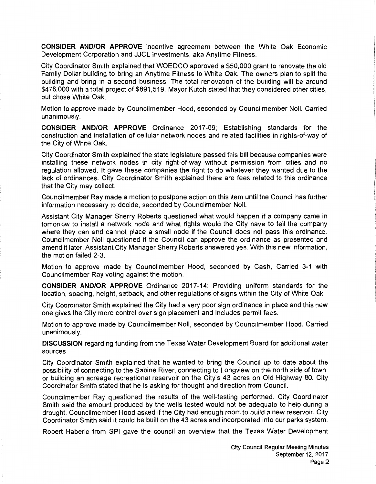**CONSIDER AND/OR APPROVE** incentive agreement between the White Oak Economic Development Corporation and JJCL Investments, aka Anytime Fitness.

City Coordinator Smith explained that WOEDCO approved a \$50,000 grant to renovate the old Family Dollar building to bring an Anytime Fitness to White Oak. The owners plan to split the building and bring in a second business. The total renovation of the building will be around \$476,000 with a total project of \$891,519. Mayor Kutch stated that they considered other cities, but chose White Oak.

Motion to approve made by Councilmember Hood, seconded by Councilmember Noll. Carried unanimously.

**CONSIDER AND/OR APPROVE** Ordinance 2017-09; Establishing standards for the construction and installation of cellular network nodes and related facilities in rights-of-way of the City of White Oak.

City Coordinator Smith explained the state legislature passed this bill because companies were installing these network nodes in city right-of-way without permission from cities and no regulation allowed. It gave these companies the right to do whatever they wanted due to the lack of ordinances. City Coordinator Smith explained there are fees related to this ordinance that the City may collect.

Council member Ray made a motion to postpone action on this item until the Council has further information necessary to decide, seconded by Councilmember Noll.

Assistant City Manager Sherry Roberts questioned what would happen if a company came in tomorrow to install a network node and what rights would the City have to tell the company where they can and cannot place a small node if the Council does not pass this ordinance. Councilmember Noll questioned if the Council can approve the ordinance as presented and amend it later. Assistant City Manager Sherry Roberts answered yes. With this new information, the motion failed 2-3.

Motion to approve made by Councilmember Hood, seconded by Cash, Carried 3-1 with Councilmember Ray voting against the motion.

**CONSIDER AND/OR APPROVE** Ordinance 2017-14; Providing uniform standards for the location, spacing, height, setback, and other regulations of signs within the City of White Oak.

City Coordinator Smith explained the City had a very poor sign ordinance in place and this new one gives the City more control over sign placement and includes permit fees.

Motion to approve made by Councilmember Noll, seconded by Councilmember Hood. Carried unanimously.

**DISCUSSION** regarding funding from the Texas Water Development Board for additional water sources

City Coordinator Smith explained that he wanted to bring the Council up to date about the possibility of connecting to the Sabine River, connecting to Longview on the north side of town, or building an acreage recreational reservoir on the City's 43 acres on Old Highway 80. City Coordinator Smith stated that he is asking for thought and direction from Council.

Councilmember Ray questioned the results of the well-testing performed. City Coordinator Smith said the amount produced by the wells tested would not be adequate to help during a drought. Councilmember Hood asked if the City had enough room to build a new reservoir. City Coordinator Smith said it could be built on the 43 acres and incorporated into our parks system.

Robert Haberle from SPI gave the council an overview that the Texas Water Development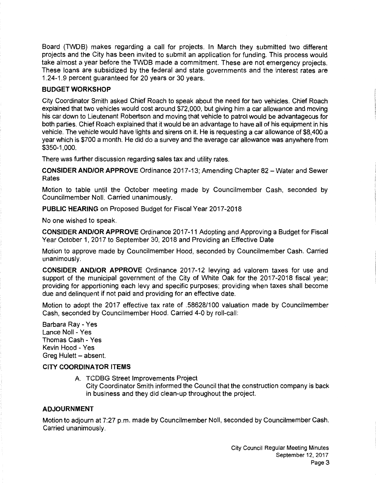Board (TWDB) makes regarding a call for projects. In March they submitted two different projects and the City has been invited to submit an application for funding. This process would take almost a year before the TWDB made a commitment. These are not emergency projects. These loans are subsidized by the federal and state governments and the interest rates are 1.24-1.9 percent guaranteed for 20 years or 30 years.

# BUDGET WORKSHOP

City Coordinator Smith asked Chief Roach to speak about the need for two vehicles. Chief Roach explained that two vehicles would cost around \$72,000, but giving him a car allowance and moving his car down to Lieutenant Robertson and moving that vehicle to patrol would be advantageous for both parties. Chief Roach explained that it would be an advantage to have all of his equipment in his vehicle. The vehicle would have lights and sirens on it. He is requesting a car allowance of \$8,400 a year which is \$700 a month. He did do a survey and the average car allowance was anywhere from \$350-1,000.

There was further discussion regarding sales tax and utility rates.

CONSIDER AND/OR APPROVE Ordinance 2017 -13; Amending Chapter 82 -Water and Sewer Rates

Motion to table until the October meeting made by Councilmember Cash, seconded by Councilmember Noll. Carried unanimously.

PUBLIC HEARING on Proposed Budget for Fiscal Year 2017-2018

No one wished to speak.

CONSIDER AND/OR APPROVE Ordinance 2017-11 Adopting and Approving a Budget for Fiscal Year October 1, 2017 to September 30, 2018 and Providing an Effective Date

Motion to approve made by Councilmember Hood, seconded by Councilmember Cash. Carried unanimously.

CONSIDER AND/OR APPROVE Ordinance 2017-12 levying ad valorem taxes for use and support of the municipal government of the City of White Oak for the 2017-2018 fiscal year; providing for apportioning each levy and specific purposes; providing when taxes shall become due and delinquent if not paid and providing for an effective date.

Motion to adopt the 2017 effective tax rate of .58628/100 valuation made by Councilmember Cash, seconded by Councilmember Hood. Carried 4-0 by roll-call:

Barbara Ray- Yes Lance Noll- Yes Thomas Cash - Yes Kevin Hood - Yes Greg Hulett - absent.

#### CITY COORDINATOR ITEMS

A. TCDBG Street Improvements Project City Coordinator Smith informed the Council that the construction company is back in business and they did clean-up throughout the project.

## ADJOURNMENT

Motion to adjourn at 7:27 p.m. made by Councilmember Noll, seconded by Councilmember Cash. Carried unanimously.